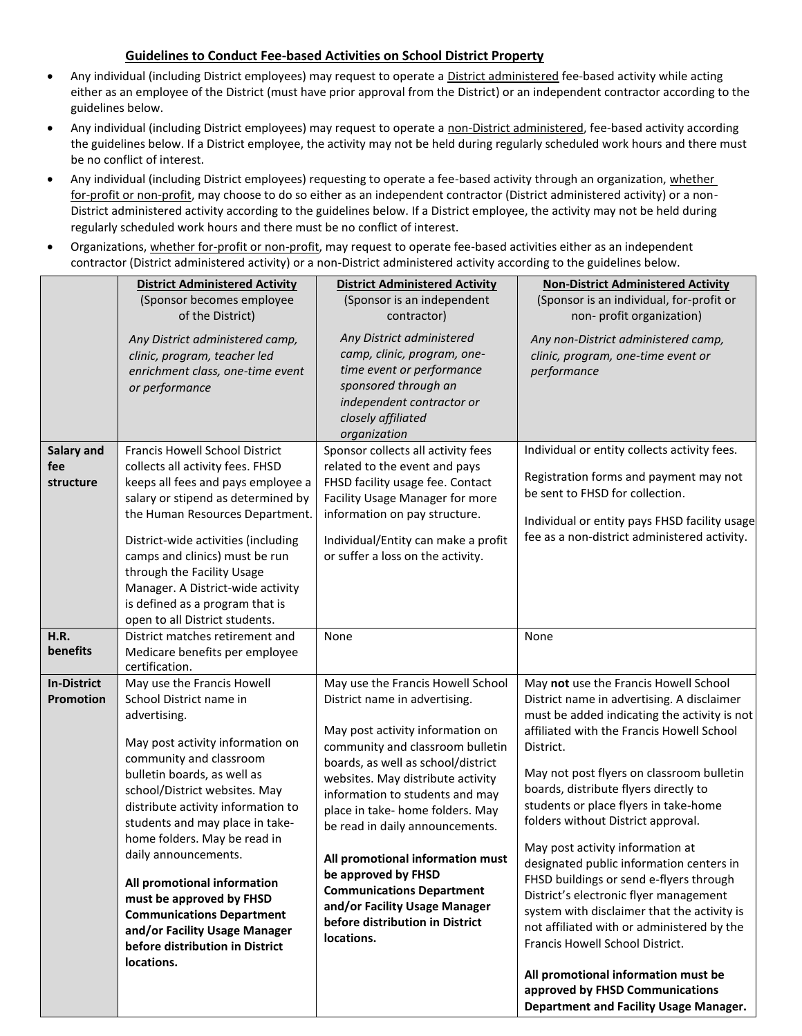## **Guidelines to Conduct Fee-based Activities on School District Property**

- Any individual (including District employees) may request to operate a District administered fee-based activity while acting either as an employee of the District (must have prior approval from the District) or an independent contractor according to the guidelines below.
- Any individual (including District employees) may request to operate a non-District administered, fee-based activity according the guidelines below. If a District employee, the activity may not be held during regularly scheduled work hours and there must be no conflict of interest.
- Any individual (including District employees) requesting to operate a fee-based activity through an organization, whether for-profit or non-profit, may choose to do so either as an independent contractor (District administered activity) or a non-District administered activity according to the guidelines below. If a District employee, the activity may not be held during regularly scheduled work hours and there must be no conflict of interest.
- Organizations, whether for-profit or non-profit, may request to operate fee-based activities either as an independent contractor (District administered activity) or a non-District administered activity according to the guidelines below.

|                    | <b>District Administered Activity</b>                                                                                 | <b>District Administered Activity</b>                                                                                                                                            | <b>Non-District Administered Activity</b>                                                |
|--------------------|-----------------------------------------------------------------------------------------------------------------------|----------------------------------------------------------------------------------------------------------------------------------------------------------------------------------|------------------------------------------------------------------------------------------|
|                    | (Sponsor becomes employee                                                                                             | (Sponsor is an independent                                                                                                                                                       | (Sponsor is an individual, for-profit or                                                 |
|                    | of the District)                                                                                                      | contractor)                                                                                                                                                                      | non- profit organization)                                                                |
|                    | Any District administered camp,<br>clinic, program, teacher led<br>enrichment class, one-time event<br>or performance | Any District administered<br>camp, clinic, program, one-<br>time event or performance<br>sponsored through an<br>independent contractor or<br>closely affiliated<br>organization | Any non-District administered camp,<br>clinic, program, one-time event or<br>performance |
| Salary and         | Francis Howell School District                                                                                        | Sponsor collects all activity fees                                                                                                                                               | Individual or entity collects activity fees.                                             |
| fee                | collects all activity fees. FHSD                                                                                      | related to the event and pays                                                                                                                                                    |                                                                                          |
| structure          | keeps all fees and pays employee a                                                                                    | FHSD facility usage fee. Contact                                                                                                                                                 | Registration forms and payment may not                                                   |
|                    | salary or stipend as determined by                                                                                    | Facility Usage Manager for more                                                                                                                                                  | be sent to FHSD for collection.                                                          |
|                    | the Human Resources Department.                                                                                       | information on pay structure.                                                                                                                                                    | Individual or entity pays FHSD facility usage                                            |
|                    | District-wide activities (including                                                                                   | Individual/Entity can make a profit                                                                                                                                              | fee as a non-district administered activity.                                             |
|                    | camps and clinics) must be run                                                                                        | or suffer a loss on the activity.                                                                                                                                                |                                                                                          |
|                    | through the Facility Usage                                                                                            |                                                                                                                                                                                  |                                                                                          |
|                    | Manager. A District-wide activity                                                                                     |                                                                                                                                                                                  |                                                                                          |
|                    | is defined as a program that is                                                                                       |                                                                                                                                                                                  |                                                                                          |
|                    | open to all District students.                                                                                        |                                                                                                                                                                                  |                                                                                          |
| H.R.               | District matches retirement and                                                                                       | None                                                                                                                                                                             | None                                                                                     |
| benefits           | Medicare benefits per employee<br>certification.                                                                      |                                                                                                                                                                                  |                                                                                          |
| <b>In-District</b> | May use the Francis Howell                                                                                            | May use the Francis Howell School                                                                                                                                                | May not use the Francis Howell School                                                    |
| <b>Promotion</b>   | School District name in                                                                                               | District name in advertising.                                                                                                                                                    | District name in advertising. A disclaimer                                               |
|                    | advertising.                                                                                                          |                                                                                                                                                                                  | must be added indicating the activity is not                                             |
|                    |                                                                                                                       | May post activity information on                                                                                                                                                 | affiliated with the Francis Howell School                                                |
|                    | May post activity information on                                                                                      | community and classroom bulletin                                                                                                                                                 | District.                                                                                |
|                    | community and classroom<br>bulletin boards, as well as                                                                | boards, as well as school/district                                                                                                                                               | May not post flyers on classroom bulletin                                                |
|                    | school/District websites. May                                                                                         | websites. May distribute activity<br>information to students and may                                                                                                             | boards, distribute flyers directly to                                                    |
|                    | distribute activity information to                                                                                    | place in take- home folders. May                                                                                                                                                 | students or place flyers in take-home                                                    |
|                    | students and may place in take-                                                                                       | be read in daily announcements.                                                                                                                                                  | folders without District approval.                                                       |
|                    | home folders. May be read in                                                                                          |                                                                                                                                                                                  | May post activity information at                                                         |
|                    | daily announcements.                                                                                                  | All promotional information must                                                                                                                                                 | designated public information centers in                                                 |
|                    | All promotional information                                                                                           | be approved by FHSD                                                                                                                                                              | FHSD buildings or send e-flyers through                                                  |
|                    | must be approved by FHSD                                                                                              | <b>Communications Department</b>                                                                                                                                                 | District's electronic flyer management                                                   |
|                    | <b>Communications Department</b>                                                                                      | and/or Facility Usage Manager                                                                                                                                                    | system with disclaimer that the activity is                                              |
|                    | and/or Facility Usage Manager                                                                                         | before distribution in District<br>locations.                                                                                                                                    | not affiliated with or administered by the                                               |
|                    | before distribution in District                                                                                       |                                                                                                                                                                                  | Francis Howell School District.                                                          |
|                    | locations.                                                                                                            |                                                                                                                                                                                  |                                                                                          |
|                    |                                                                                                                       |                                                                                                                                                                                  | All promotional information must be<br>approved by FHSD Communications                   |
|                    |                                                                                                                       |                                                                                                                                                                                  | Department and Facility Usage Manager.                                                   |
|                    |                                                                                                                       |                                                                                                                                                                                  |                                                                                          |